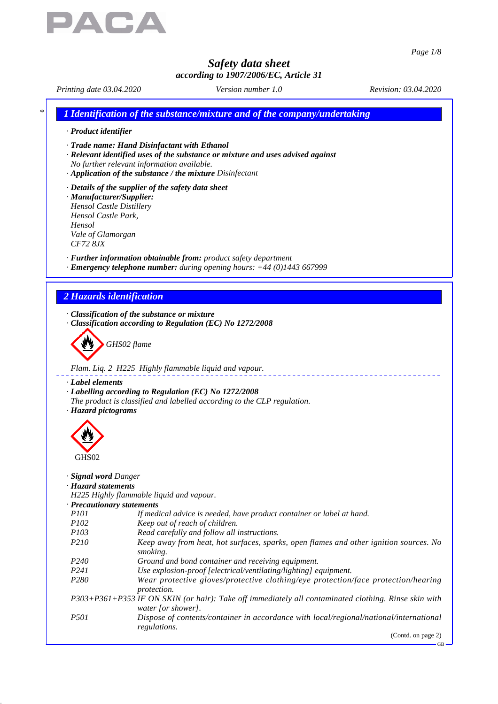

*Page 1/8*

# *Safety data sheet*

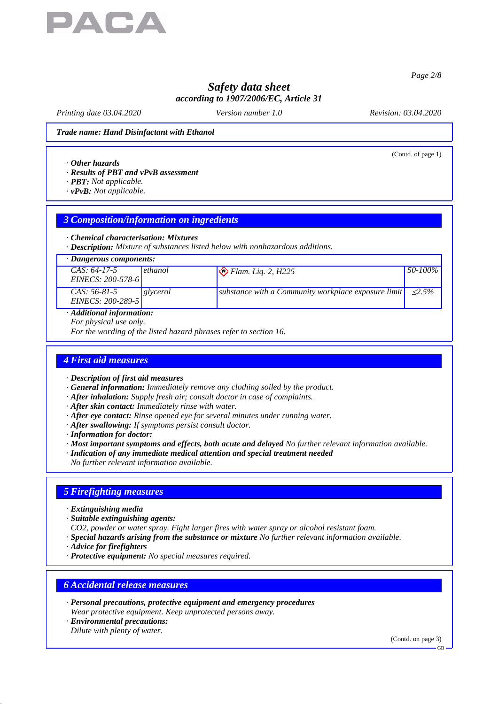

*Page 2/8*

# *Safety data sheet according to 1907/2006/EC, Article 31*

*Printing date 03.04.2020 Version number 1.0 Revision: 03.04.2020*

(Contd. of page 1)

#### *Trade name: Hand Disinfactant with Ethanol*

*· Other hazards*

- *· Results of PBT and vPvB assessment*
- *· PBT: Not applicable.*
- *· vPvB: Not applicable.*

## *3 Composition/information on ingredients*

#### *· Chemical characterisation: Mixtures*

*· Description: Mixture of substances listed below with nonhazardous additions.*

### *· Dangerous components:*

| $CAS: 64-17-5$<br>EINECS: 200-578-6                                                                      | ethanol  | $\Diamond$ Flam. Liq. 2, H225                                    | $50 - 100\%$ |
|----------------------------------------------------------------------------------------------------------|----------|------------------------------------------------------------------|--------------|
| $CAS: 56-81-5$<br>EINECS: 200-289-5                                                                      | glycerol | substance with a Community workplace exposure limit $\leq 2.5\%$ |              |
| $\bm{A}$ , $\bm{I}$ , $\bm{I}$ , $\bm{I}$ , $\bm{I}$ , $\bm{I}$ , $\bm{C}$ , and $\bm{C}$ , and $\bm{I}$ |          |                                                                  |              |

## *· Additional information:*

*For physical use only.*

*For the wording of the listed hazard phrases refer to section 16.*

## *4 First aid measures*

- *· Description of first aid measures*
- *· General information: Immediately remove any clothing soiled by the product.*
- *· After inhalation: Supply fresh air; consult doctor in case of complaints.*
- *· After skin contact: Immediately rinse with water.*
- *· After eye contact: Rinse opened eye for several minutes under running water.*
- *· After swallowing: If symptoms persist consult doctor.*
- *· Information for doctor:*
- *· Most important symptoms and effects, both acute and delayed No further relevant information available.*
- *· Indication of any immediate medical attention and special treatment needed*
- *No further relevant information available.*

## *5 Firefighting measures*

- *· Extinguishing media*
- *· Suitable extinguishing agents:*
- *CO2, powder or water spray. Fight larger fires with water spray or alcohol resistant foam.*
- *· Special hazards arising from the substance or mixture No further relevant information available.*
- *· Advice for firefighters*
- *· Protective equipment: No special measures required.*

## *6 Accidental release measures*

- *· Personal precautions, protective equipment and emergency procedures Wear protective equipment. Keep unprotected persons away.*
- *· Environmental precautions: Dilute with plenty of water.*

(Contd. on page 3)

GB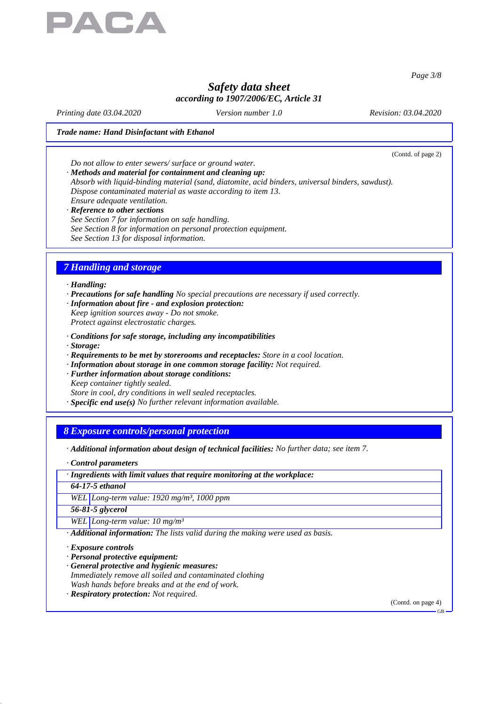

*Page 3/8*

# *Safety data sheet according to 1907/2006/EC, Article 31*

*Printing date 03.04.2020 Version number 1.0 Revision: 03.04.2020*

#### *Trade name: Hand Disinfactant with Ethanol*

(Contd. of page 2)

*Do not allow to enter sewers/ surface or ground water.*

*· Methods and material for containment and cleaning up: Absorb with liquid-binding material (sand, diatomite, acid binders, universal binders, sawdust). Dispose contaminated material as waste according to item 13. Ensure adequate ventilation.*

*· Reference to other sections See Section 7 for information on safe handling. See Section 8 for information on personal protection equipment. See Section 13 for disposal information.*

## *7 Handling and storage*

*· Handling:*

- *· Precautions for safe handling No special precautions are necessary if used correctly.*
- *· Information about fire and explosion protection:*
- *Keep ignition sources away Do not smoke. Protect against electrostatic charges.*
- *· Conditions for safe storage, including any incompatibilities*
- *· Storage:*
- *· Requirements to be met by storerooms and receptacles: Store in a cool location.*
- *· Information about storage in one common storage facility: Not required.*
- *· Further information about storage conditions:*
- *Keep container tightly sealed.*
- *Store in cool, dry conditions in well sealed receptacles.*
- *· Specific end use(s) No further relevant information available.*

### *8 Exposure controls/personal protection*

- *· Additional information about design of technical facilities: No further data; see item 7.*
- *· Control parameters*
- *· Ingredients with limit values that require monitoring at the workplace:*

*64-17-5 ethanol*

*WEL Long-term value: 1920 mg/m³, 1000 ppm*

*56-81-5 glycerol*

*WEL Long-term value: 10 mg/m³*

*· Additional information: The lists valid during the making were used as basis.*

*· Exposure controls*

*· Personal protective equipment:*

- *· General protective and hygienic measures:*
- *Immediately remove all soiled and contaminated clothing Wash hands before breaks and at the end of work.*
- *· Respiratory protection: Not required.*

(Contd. on page 4)

GB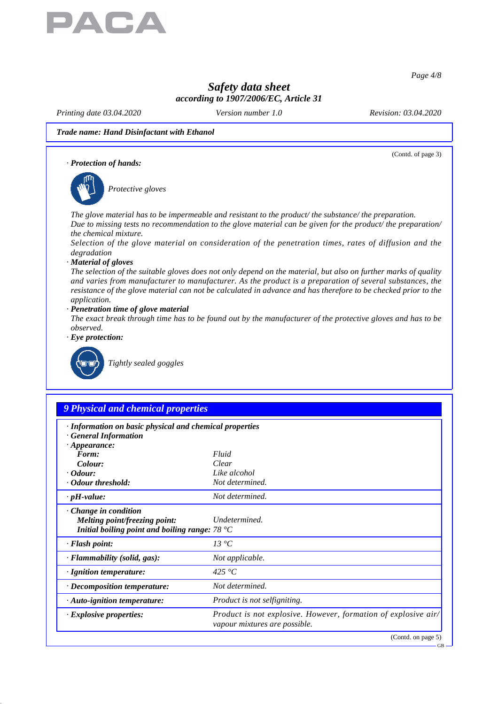

*Page 4/8*

GB

# *Safety data sheet according to 1907/2006/EC, Article 31*

*Printing date 03.04.2020 Version number 1.0 Revision: 03.04.2020*

#### *Trade name: Hand Disinfactant with Ethanol*

(Contd. of page 3) *· Protection of hands: Protective gloves The glove material has to be impermeable and resistant to the product/ the substance/ the preparation. Due to missing tests no recommendation to the glove material can be given for the product/ the preparation/ the chemical mixture. Selection of the glove material on consideration of the penetration times, rates of diffusion and the degradation · Material of gloves The selection of the suitable gloves does not only depend on the material, but also on further marks of quality and varies from manufacturer to manufacturer. As the product is a preparation of several substances, the resistance of the glove material can not be calculated in advance and has therefore to be checked prior to the application. · Penetration time of glove material The exact break through time has to be found out by the manufacturer of the protective gloves and has to be observed. · Eye protection: Tightly sealed goggles 9 Physical and chemical properties · Information on basic physical and chemical properties · General Information · Appearance: Form: Fluid Colour: Clear · Odour: Like alcohol · Odour threshold: Not determined. · pH-value: Not determined. · Change in condition Melting point/freezing point: Undetermined. Initial boiling point and boiling range: 78 °C · Flash point: 13 °C · Flammability (solid, gas): Not applicable. · Ignition temperature: 425 °C · Decomposition temperature: Not determined. · Auto-ignition temperature: Product is not selfigniting. · Explosive properties: Product is not explosive. However, formation of explosive air/ vapour mixtures are possible.* (Contd. on page 5)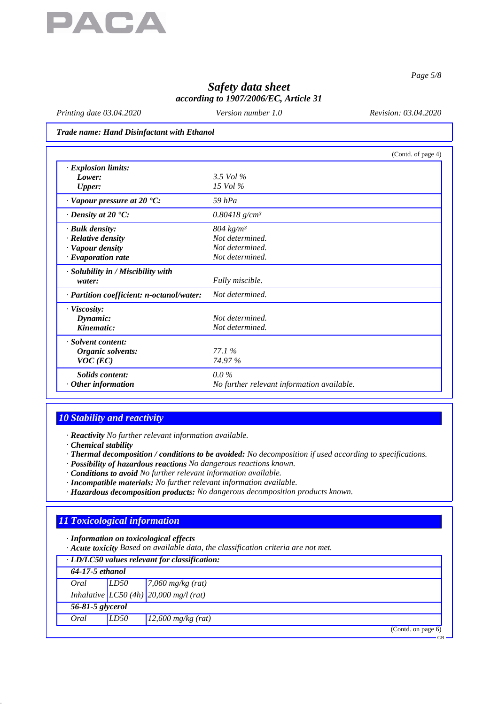

*Page 5/8*

# *Safety data sheet according to 1907/2006/EC, Article 31*

*Printing date 03.04.2020 Version number 1.0 Revision: 03.04.2020*

*Trade name: Hand Disinfactant with Ethanol*

|                                           | (Contd. of page 4)                         |  |
|-------------------------------------------|--------------------------------------------|--|
| $\cdot$ Explosion limits:                 |                                            |  |
| Lower:                                    | 3.5 Vol $\%$                               |  |
| <b>Upper:</b>                             | 15 Vol $\%$                                |  |
| $\cdot$ Vapour pressure at 20 $\cdot$ C:  | 59 $hPa$                                   |  |
| $\cdot$ Density at 20 $\cdot$ C:          | $0.80418$ g/cm <sup>3</sup>                |  |
| · Bulk density:                           | $804 \ kg/m^3$                             |  |
| · Relative density                        | Not determined.                            |  |
| · Vapour density                          | Not determined.                            |  |
| $\cdot$ Evaporation rate                  | Not determined.                            |  |
| · Solubility in / Miscibility with        |                                            |  |
| water:                                    | Fully miscible.                            |  |
| · Partition coefficient: n-octanol/water: | Not determined.                            |  |
| · Viscosity:                              |                                            |  |
| Dynamic:                                  | Not determined.                            |  |
| Kinematic:                                | Not determined.                            |  |
| · Solvent content:                        |                                            |  |
| Organic solvents:                         | 77.1%                                      |  |
| $VOC$ (EC)                                | 74.97%                                     |  |
| <b>Solids content:</b>                    | $0.0\%$                                    |  |
| Other information                         | No further relevant information available. |  |

## *10 Stability and reactivity*

*· Reactivity No further relevant information available.*

*· Chemical stability*

*· Thermal decomposition / conditions to be avoided: No decomposition if used according to specifications.*

- *· Possibility of hazardous reactions No dangerous reactions known.*
- *· Conditions to avoid No further relevant information available.*
- *· Incompatible materials: No further relevant information available.*
- *· Hazardous decomposition products: No dangerous decomposition products known.*

# *11 Toxicological information*

*· Information on toxicological effects*

*· Acute toxicity Based on available data, the classification criteria are not met.*

| · LD/LC50 values relevant for classification: |      |                                                                                                                                                                                                                    |  |  |  |
|-----------------------------------------------|------|--------------------------------------------------------------------------------------------------------------------------------------------------------------------------------------------------------------------|--|--|--|
| 64-17-5 ethanol                               |      |                                                                                                                                                                                                                    |  |  |  |
|                                               |      | Oral $\left  \begin{array}{cc} LDS0 & \hline \hline 7,060 \text{ mg/kg (rat)} \end{array} \right $<br>Inhalative $\left  \begin{array}{cc} LCS0 \text{ (4h)} \hline 20,000 \text{ mg/l (rat)} \end{array} \right $ |  |  |  |
|                                               |      |                                                                                                                                                                                                                    |  |  |  |
| 56-81-5 glycerol                              |      |                                                                                                                                                                                                                    |  |  |  |
| Oral                                          | LD50 | $12,600$ mg/kg (rat)                                                                                                                                                                                               |  |  |  |
|                                               |      | (Contd. on page 6)                                                                                                                                                                                                 |  |  |  |
|                                               |      | $-GB$                                                                                                                                                                                                              |  |  |  |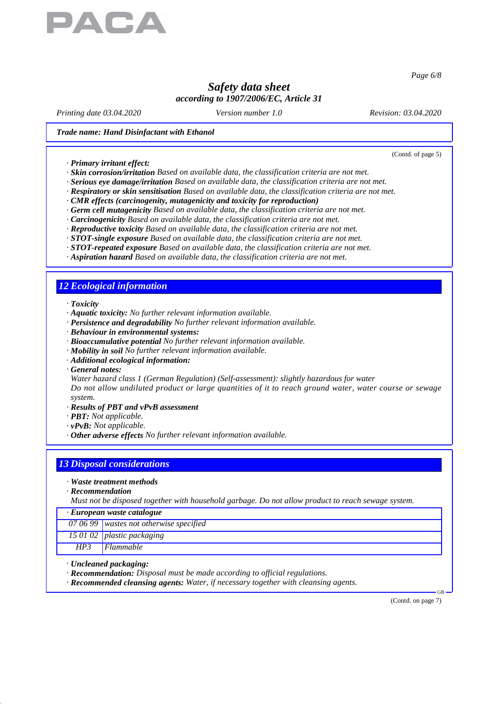

*Page 6/8*

# *Safety data sheet according to 1907/2006/EC, Article 31*

*Printing date 03.04.2020 Version number 1.0 Revision: 03.04.2020*

(Contd. of page 5)

#### *Trade name: Hand Disinfactant with Ethanol*

*· Primary irritant effect:*

- *· Skin corrosion/irritation Based on available data, the classification criteria are not met.*
- *· Serious eye damage/irritation Based on available data, the classification criteria are not met.*
- *· Respiratory or skin sensitisation Based on available data, the classification criteria are not met.*
- *· CMR effects (carcinogenity, mutagenicity and toxicity for reproduction)*
- *· Germ cell mutagenicity Based on available data, the classification criteria are not met.*
- *· Carcinogenicity Based on available data, the classification criteria are not met.*
- *· Reproductive toxicity Based on available data, the classification criteria are not met.*
- *· STOT-single exposure Based on available data, the classification criteria are not met.*
- *· STOT-repeated exposure Based on available data, the classification criteria are not met.*
- *· Aspiration hazard Based on available data, the classification criteria are not met.*

## *12 Ecological information*

*· Toxicity*

- *· Aquatic toxicity: No further relevant information available.*
- *· Persistence and degradability No further relevant information available.*
- *· Behaviour in environmental systems:*
- *· Bioaccumulative potential No further relevant information available.*
- *· Mobility in soil No further relevant information available.*
- *· Additional ecological information:*
- *· General notes:*

*Water hazard class 1 (German Regulation) (Self-assessment): slightly hazardous for water Do not allow undiluted product or large quantities of it to reach ground water, water course or sewage system.*

- *· Results of PBT and vPvB assessment*
- *· PBT: Not applicable.*
- *· vPvB: Not applicable.*
- *· Other adverse effects No further relevant information available.*

## *13 Disposal considerations*

- *· Waste treatment methods*
- *· Recommendation*

*Must not be disposed together with household garbage. Do not allow product to reach sewage system.*

| $\cdot$ European waste catalogue |                                                 |
|----------------------------------|-------------------------------------------------|
|                                  | $\boxed{070699}$ wastes not otherwise specified |
|                                  | 15 01 02 plastic packaging                      |

*HP3 Flammable*

- *· Uncleaned packaging:*
- *· Recommendation: Disposal must be made according to official regulations.*
- *· Recommended cleansing agents: Water, if necessary together with cleansing agents.*

(Contd. on page 7)

GB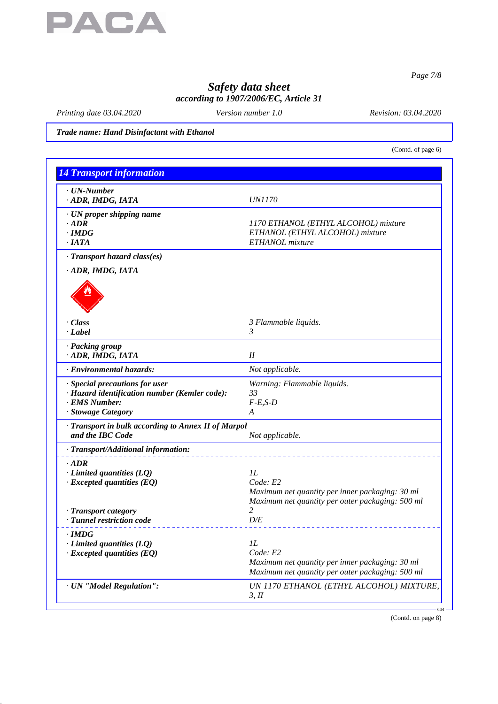

*Page 7/8*

# *Safety data sheet according to 1907/2006/EC, Article 31*

*Printing date 03.04.2020 Version number 1.0 Revision: 03.04.2020*

*Trade name: Hand Disinfactant with Ethanol*

(Contd. of page 6)

| <b>14 Transport information</b>                                                                                        |                                                                                                                            |
|------------------------------------------------------------------------------------------------------------------------|----------------------------------------------------------------------------------------------------------------------------|
| $\cdot$ UN-Number<br>ADR, IMDG, IATA                                                                                   | <i>UN1170</i>                                                                                                              |
| · UN proper shipping name<br>$\cdot$ <i>ADR</i><br>$\cdot$ IMDG<br>$\cdot$ IATA                                        | 1170 ETHANOL (ETHYL ALCOHOL) mixture<br>ETHANOL (ETHYL ALCOHOL) mixture<br>ETHANOL mixture                                 |
| · Transport hazard class(es)<br>ADR, IMDG, IATA                                                                        |                                                                                                                            |
| $\cdot$ Class<br>$\cdot$ <i>Label</i>                                                                                  | 3 Flammable liquids.<br>3                                                                                                  |
| · Packing group<br>· ADR, IMDG, IATA                                                                                   | $I\!I$                                                                                                                     |
| · Environmental hazards:                                                                                               | Not applicable.                                                                                                            |
| · Special precautions for user<br>· Hazard identification number (Kemler code):<br>· EMS Number:<br>· Stowage Category | Warning: Flammable liquids.<br>33<br>$F-E,S-D$<br>A                                                                        |
| · Transport in bulk according to Annex II of Marpol<br>and the IBC Code                                                | Not applicable.                                                                                                            |
| · Transport/Additional information:                                                                                    |                                                                                                                            |
| $\cdot$ ADR<br>$\cdot$ Limited quantities (LQ)<br>$\cdot$ Excepted quantities (EQ)<br>· Transport category             | IL<br>Code: E2<br>Maximum net quantity per inner packaging: 30 ml<br>Maximum net quantity per outer packaging: 500 ml<br>2 |
| · Tunnel restriction code                                                                                              | D/E                                                                                                                        |
| $\cdot$ IMDG<br>$\cdot$ Limited quantities (LQ)<br>$\cdot$ Excepted quantities (EQ)                                    | 1L<br>Code: E2<br>Maximum net quantity per inner packaging: 30 ml<br>Maximum net quantity per outer packaging: 500 ml      |
| · UN "Model Regulation":                                                                                               | UN 1170 ETHANOL (ETHYL ALCOHOL) MIXTURE,<br>3, H                                                                           |

(Contd. on page 8)